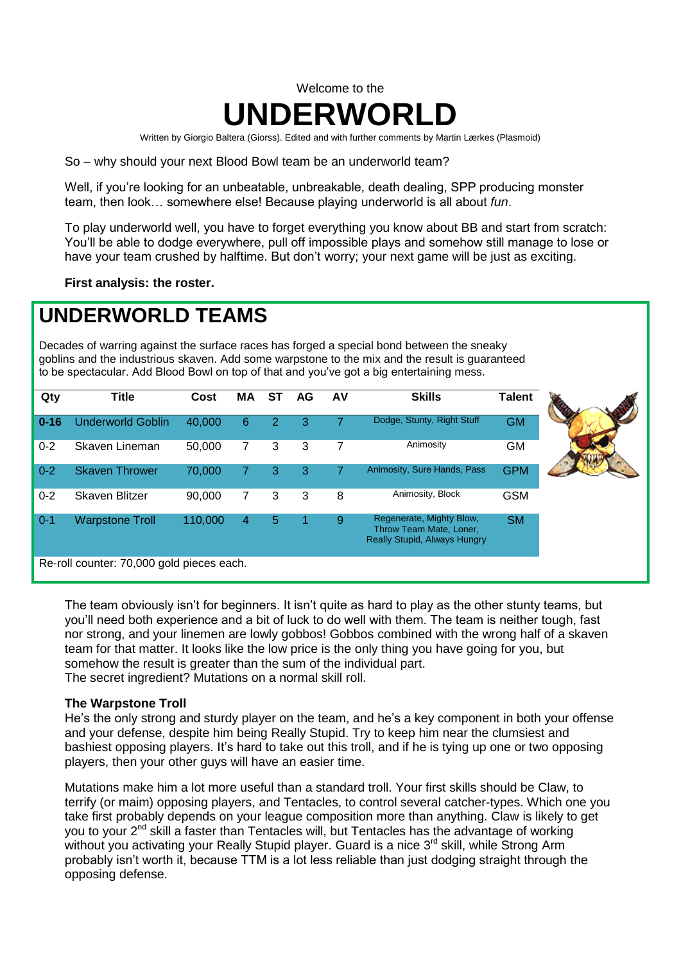# Welcome to the **UNDERWORLD**

Written by Giorgio Baltera (Giorss). Edited and with further comments by Martin Lærkes (Plasmoid)

So – why should your next Blood Bowl team be an underworld team?

Well, if you're looking for an unbeatable, unbreakable, death dealing, SPP producing monster team, then look… somewhere else! Because playing underworld is all about *fun*.

To play underworld well, you have to forget everything you know about BB and start from scratch: You'll be able to dodge everywhere, pull off impossible plays and somehow still manage to lose or have your team crushed by halftime. But don't worry; your next game will be just as exciting.

**First analysis: the roster.**

# **UNDERWORLD TEAMS**

Decades of warring against the surface races has forged a special bond between the sneaky goblins and the industrious skaven. Add some warpstone to the mix and the result is guaranteed to be spectacular. Add Blood Bowl on top of that and you've got a big entertaining mess.

| Qty      | <b>Title</b>                              | Cost    | МA             | SТ | AG | AV | <b>Skills</b>                                                                              | <b>Talent</b> |  |
|----------|-------------------------------------------|---------|----------------|----|----|----|--------------------------------------------------------------------------------------------|---------------|--|
| $0 - 16$ | <b>Underworld Goblin</b>                  | 40,000  | 6              |    | 3  |    | Dodge, Stunty, Right Stuff                                                                 | <b>GM</b>     |  |
| $0 - 2$  | Skaven Lineman                            | 50,000  | 7              | 3  | 3  | 7  | Animosity                                                                                  | <b>GM</b>     |  |
| $0 - 2$  | <b>Skaven Thrower</b>                     | 70,000  |                | З  | 3  |    | Animosity, Sure Hands, Pass                                                                | <b>GPM</b>    |  |
| $0 - 2$  | Skaven Blitzer                            | 90,000  | $\overline{7}$ | 3  | 3  | 8  | Animosity, Block                                                                           | <b>GSM</b>    |  |
| $0 - 1$  | <b>Warpstone Troll</b>                    | 110,000 | 4              | 5  |    | 9  | Regenerate, Mighty Blow,<br>Throw Team Mate, Loner,<br><b>Really Stupid, Always Hungry</b> | <b>SM</b>     |  |
|          | Re-roll counter: 70,000 gold pieces each. |         |                |    |    |    |                                                                                            |               |  |

The team obviously isn't for beginners. It isn't quite as hard to play as the other stunty teams, but you'll need both experience and a bit of luck to do well with them. The team is neither tough, fast nor strong, and your linemen are lowly gobbos! Gobbos combined with the wrong half of a skaven team for that matter. It looks like the low price is the only thing you have going for you, but somehow the result is greater than the sum of the individual part. The secret ingredient? Mutations on a normal skill roll.

#### **The Warpstone Troll**

He's the only strong and sturdy player on the team, and he's a key component in both your offense and your defense, despite him being Really Stupid. Try to keep him near the clumsiest and bashiest opposing players. It's hard to take out this troll, and if he is tying up one or two opposing players, then your other guys will have an easier time.

Mutations make him a lot more useful than a standard troll. Your first skills should be Claw, to terrify (or maim) opposing players, and Tentacles, to control several catcher-types. Which one you take first probably depends on your league composition more than anything. Claw is likely to get you to your 2<sup>nd</sup> skill a faster than Tentacles will, but Tentacles has the advantage of working without you activating your Really Stupid player. Guard is a nice 3<sup>rd</sup> skill, while Strong Arm probably isn't worth it, because TTM is a lot less reliable than just dodging straight through the opposing defense.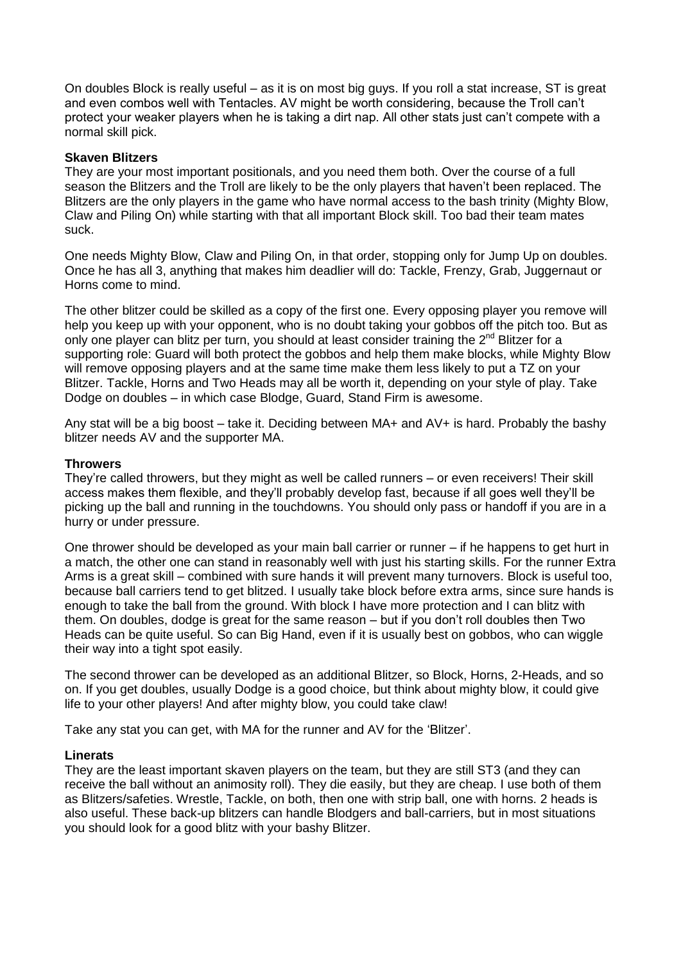On doubles Block is really useful – as it is on most big guys. If you roll a stat increase, ST is great and even combos well with Tentacles. AV might be worth considering, because the Troll can't protect your weaker players when he is taking a dirt nap. All other stats just can't compete with a normal skill pick.

#### **Skaven Blitzers**

They are your most important positionals, and you need them both. Over the course of a full season the Blitzers and the Troll are likely to be the only players that haven't been replaced. The Blitzers are the only players in the game who have normal access to the bash trinity (Mighty Blow, Claw and Piling On) while starting with that all important Block skill. Too bad their team mates suck.

One needs Mighty Blow, Claw and Piling On, in that order, stopping only for Jump Up on doubles. Once he has all 3, anything that makes him deadlier will do: Tackle, Frenzy, Grab, Juggernaut or Horns come to mind.

The other blitzer could be skilled as a copy of the first one. Every opposing player you remove will help you keep up with your opponent, who is no doubt taking your gobbos off the pitch too. But as only one player can blitz per turn, you should at least consider training the 2<sup>nd</sup> Blitzer for a supporting role: Guard will both protect the gobbos and help them make blocks, while Mighty Blow will remove opposing players and at the same time make them less likely to put a TZ on your Blitzer. Tackle, Horns and Two Heads may all be worth it, depending on your style of play. Take Dodge on doubles – in which case Blodge, Guard, Stand Firm is awesome.

Any stat will be a big boost – take it. Deciding between MA+ and AV+ is hard. Probably the bashy blitzer needs AV and the supporter MA.

#### **Throwers**

They're called throwers, but they might as well be called runners – or even receivers! Their skill access makes them flexible, and they'll probably develop fast, because if all goes well they'll be picking up the ball and running in the touchdowns. You should only pass or handoff if you are in a hurry or under pressure.

One thrower should be developed as your main ball carrier or runner – if he happens to get hurt in a match, the other one can stand in reasonably well with just his starting skills. For the runner Extra Arms is a great skill – combined with sure hands it will prevent many turnovers. Block is useful too, because ball carriers tend to get blitzed. I usually take block before extra arms, since sure hands is enough to take the ball from the ground. With block I have more protection and I can blitz with them. On doubles, dodge is great for the same reason – but if you don't roll doubles then Two Heads can be quite useful. So can Big Hand, even if it is usually best on gobbos, who can wiggle their way into a tight spot easily.

The second thrower can be developed as an additional Blitzer, so Block, Horns, 2-Heads, and so on. If you get doubles, usually Dodge is a good choice, but think about mighty blow, it could give life to your other players! And after mighty blow, you could take claw!

Take any stat you can get, with MA for the runner and AV for the 'Blitzer'.

#### **Linerats**

They are the least important skaven players on the team, but they are still ST3 (and they can receive the ball without an animosity roll). They die easily, but they are cheap. I use both of them as Blitzers/safeties. Wrestle, Tackle, on both, then one with strip ball, one with horns. 2 heads is also useful. These back-up blitzers can handle Blodgers and ball-carriers, but in most situations you should look for a good blitz with your bashy Blitzer.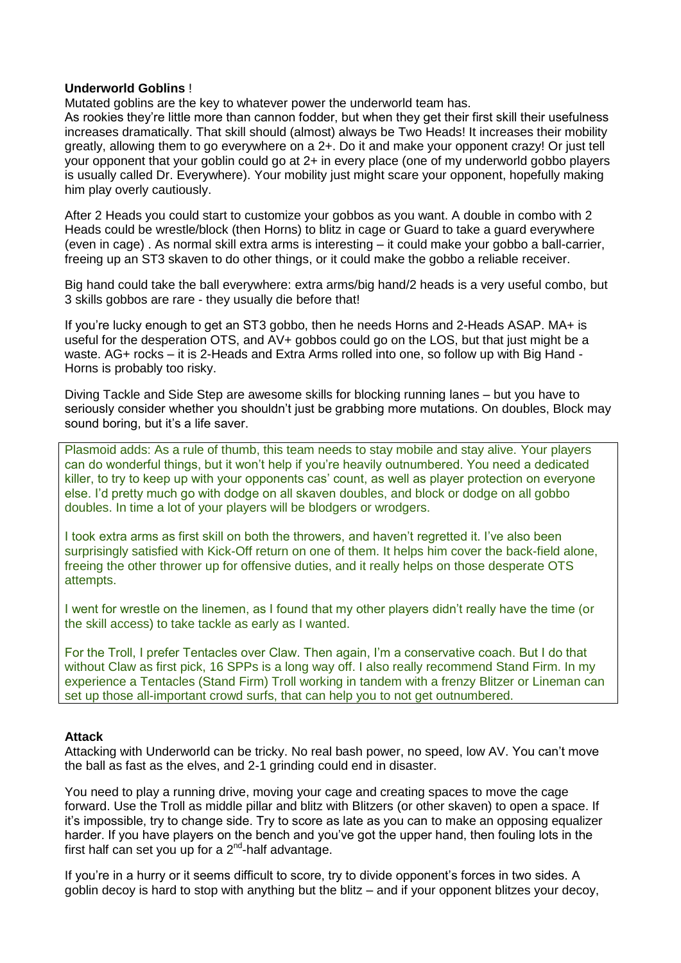#### **Underworld Goblins** !

Mutated goblins are the key to whatever power the underworld team has.

As rookies they're little more than cannon fodder, but when they get their first skill their usefulness increases dramatically. That skill should (almost) always be Two Heads! It increases their mobility greatly, allowing them to go everywhere on a 2+. Do it and make your opponent crazy! Or just tell your opponent that your goblin could go at 2+ in every place (one of my underworld gobbo players is usually called Dr. Everywhere). Your mobility just might scare your opponent, hopefully making him play overly cautiously.

After 2 Heads you could start to customize your gobbos as you want. A double in combo with 2 Heads could be wrestle/block (then Horns) to blitz in cage or Guard to take a guard everywhere (even in cage) . As normal skill extra arms is interesting – it could make your gobbo a ball-carrier, freeing up an ST3 skaven to do other things, or it could make the gobbo a reliable receiver.

Big hand could take the ball everywhere: extra arms/big hand/2 heads is a very useful combo, but 3 skills gobbos are rare - they usually die before that!

If you're lucky enough to get an ST3 gobbo, then he needs Horns and 2-Heads ASAP. MA+ is useful for the desperation OTS, and AV+ gobbos could go on the LOS, but that just might be a waste. AG+ rocks – it is 2-Heads and Extra Arms rolled into one, so follow up with Big Hand - Horns is probably too risky.

Diving Tackle and Side Step are awesome skills for blocking running lanes – but you have to seriously consider whether you shouldn't just be grabbing more mutations. On doubles, Block may sound boring, but it's a life saver.

Plasmoid adds: As a rule of thumb, this team needs to stay mobile and stay alive. Your players can do wonderful things, but it won't help if you're heavily outnumbered. You need a dedicated killer, to try to keep up with your opponents cas' count, as well as player protection on everyone else. I'd pretty much go with dodge on all skaven doubles, and block or dodge on all gobbo doubles. In time a lot of your players will be blodgers or wrodgers.

I took extra arms as first skill on both the throwers, and haven't regretted it. I've also been surprisingly satisfied with Kick-Off return on one of them. It helps him cover the back-field alone, freeing the other thrower up for offensive duties, and it really helps on those desperate OTS attempts.

I went for wrestle on the linemen, as I found that my other players didn't really have the time (or the skill access) to take tackle as early as I wanted.

For the Troll, I prefer Tentacles over Claw. Then again, I'm a conservative coach. But I do that without Claw as first pick, 16 SPPs is a long way off. I also really recommend Stand Firm. In my experience a Tentacles (Stand Firm) Troll working in tandem with a frenzy Blitzer or Lineman can set up those all-important crowd surfs, that can help you to not get outnumbered.

#### **Attack**

Attacking with Underworld can be tricky. No real bash power, no speed, low AV. You can't move the ball as fast as the elves, and 2-1 grinding could end in disaster.

You need to play a running drive, moving your cage and creating spaces to move the cage forward. Use the Troll as middle pillar and blitz with Blitzers (or other skaven) to open a space. If it's impossible, try to change side. Try to score as late as you can to make an opposing equalizer harder. If you have players on the bench and you've got the upper hand, then fouling lots in the first half can set you up for a  $2^{nd}$ -half advantage.

If you're in a hurry or it seems difficult to score, try to divide opponent's forces in two sides. A goblin decoy is hard to stop with anything but the blitz – and if your opponent blitzes your decoy,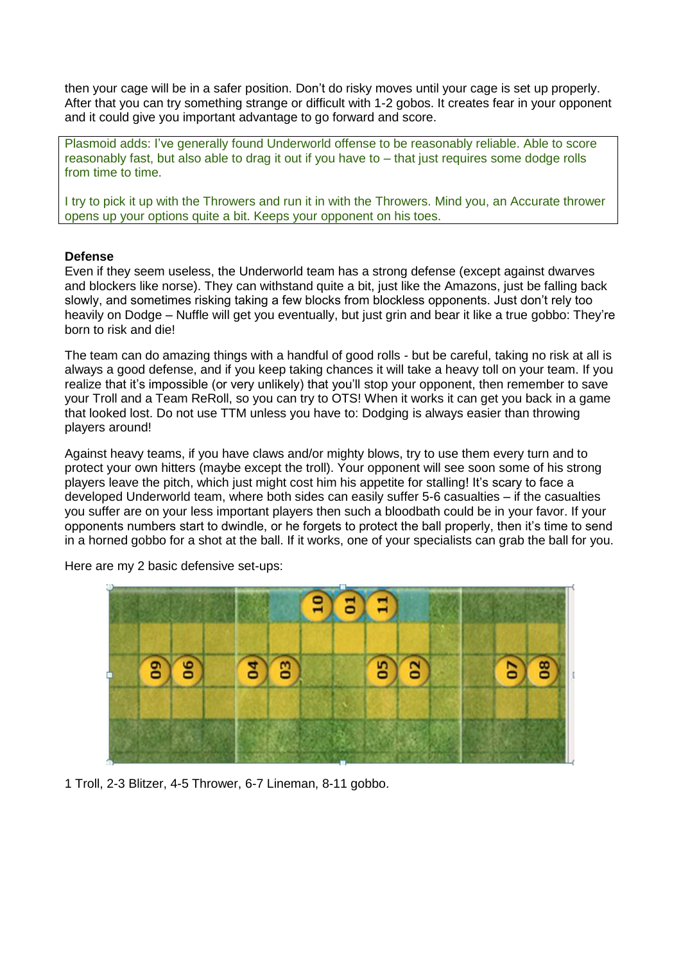then your cage will be in a safer position. Don't do risky moves until your cage is set up properly. After that you can try something strange or difficult with 1-2 gobos. It creates fear in your opponent and it could give you important advantage to go forward and score.

Plasmoid adds: I've generally found Underworld offense to be reasonably reliable. Able to score reasonably fast, but also able to drag it out if you have to – that just requires some dodge rolls from time to time.

I try to pick it up with the Throwers and run it in with the Throwers. Mind you, an Accurate thrower opens up your options quite a bit. Keeps your opponent on his toes.

#### **Defense**

Even if they seem useless, the Underworld team has a strong defense (except against dwarves and blockers like norse). They can withstand quite a bit, just like the Amazons, just be falling back slowly, and sometimes risking taking a few blocks from blockless opponents. Just don't rely too heavily on Dodge – Nuffle will get you eventually, but just grin and bear it like a true gobbo: They're born to risk and die!

The team can do amazing things with a handful of good rolls - but be careful, taking no risk at all is always a good defense, and if you keep taking chances it will take a heavy toll on your team. If you realize that it's impossible (or very unlikely) that you'll stop your opponent, then remember to save your Troll and a Team ReRoll, so you can try to OTS! When it works it can get you back in a game that looked lost. Do not use TTM unless you have to: Dodging is always easier than throwing players around!

Against heavy teams, if you have claws and/or mighty blows, try to use them every turn and to protect your own hitters (maybe except the troll). Your opponent will see soon some of his strong players leave the pitch, which just might cost him his appetite for stalling! It's scary to face a developed Underworld team, where both sides can easily suffer 5-6 casualties – if the casualties you suffer are on your less important players then such a bloodbath could be in your favor. If your opponents numbers start to dwindle, or he forgets to protect the ball properly, then it's time to send in a horned gobbo for a shot at the ball. If it works, one of your specialists can grab the ball for you.



Here are my 2 basic defensive set-ups:

1 Troll, 2-3 Blitzer, 4-5 Thrower, 6-7 Lineman, 8-11 gobbo.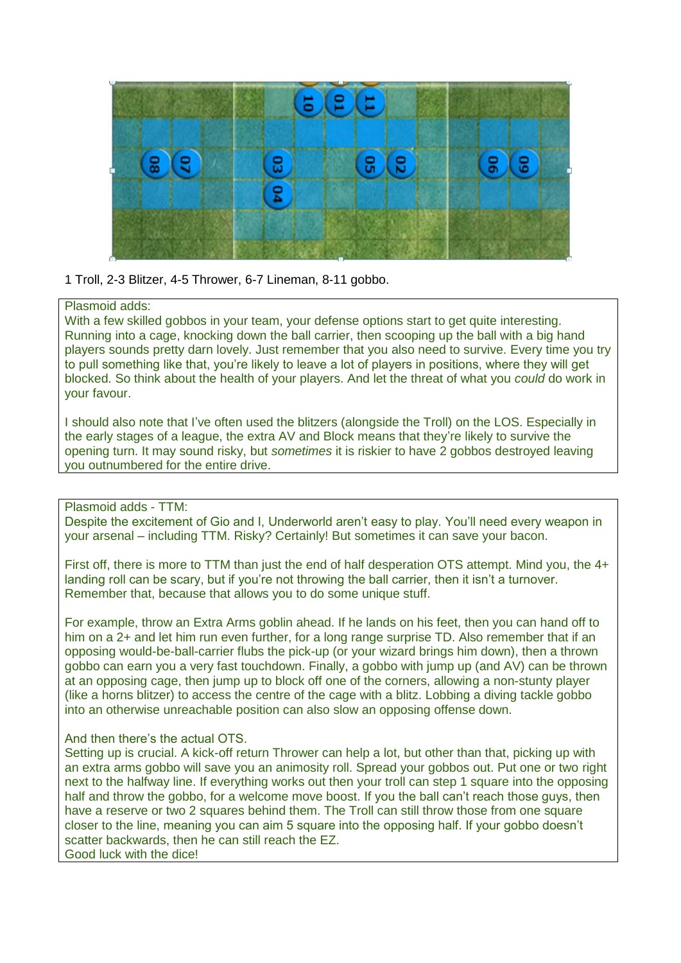

1 Troll, 2-3 Blitzer, 4-5 Thrower, 6-7 Lineman, 8-11 gobbo.

#### Plasmoid adds:

With a few skilled gobbos in your team, your defense options start to get quite interesting. Running into a cage, knocking down the ball carrier, then scooping up the ball with a big hand players sounds pretty darn lovely. Just remember that you also need to survive. Every time you try to pull something like that, you're likely to leave a lot of players in positions, where they will get blocked. So think about the health of your players. And let the threat of what you *could* do work in your favour.

I should also note that I've often used the blitzers (alongside the Troll) on the LOS. Especially in the early stages of a league, the extra AV and Block means that they're likely to survive the opening turn. It may sound risky, but *sometimes* it is riskier to have 2 gobbos destroyed leaving you outnumbered for the entire drive.

### Plasmoid adds - TTM:

Despite the excitement of Gio and I, Underworld aren't easy to play. You'll need every weapon in your arsenal – including TTM. Risky? Certainly! But sometimes it can save your bacon.

First off, there is more to TTM than just the end of half desperation OTS attempt. Mind you, the 4+ landing roll can be scary, but if you're not throwing the ball carrier, then it isn't a turnover. Remember that, because that allows you to do some unique stuff.

For example, throw an Extra Arms goblin ahead. If he lands on his feet, then you can hand off to him on a 2+ and let him run even further, for a long range surprise TD. Also remember that if an opposing would-be-ball-carrier flubs the pick-up (or your wizard brings him down), then a thrown gobbo can earn you a very fast touchdown. Finally, a gobbo with jump up (and AV) can be thrown at an opposing cage, then jump up to block off one of the corners, allowing a non-stunty player (like a horns blitzer) to access the centre of the cage with a blitz. Lobbing a diving tackle gobbo into an otherwise unreachable position can also slow an opposing offense down.

#### And then there's the actual OTS.

Setting up is crucial. A kick-off return Thrower can help a lot, but other than that, picking up with an extra arms gobbo will save you an animosity roll. Spread your gobbos out. Put one or two right next to the halfway line. If everything works out then your troll can step 1 square into the opposing half and throw the gobbo, for a welcome move boost. If you the ball can't reach those guys, then have a reserve or two 2 squares behind them. The Troll can still throw those from one square closer to the line, meaning you can aim 5 square into the opposing half. If your gobbo doesn't scatter backwards, then he can still reach the EZ. Good luck with the dice!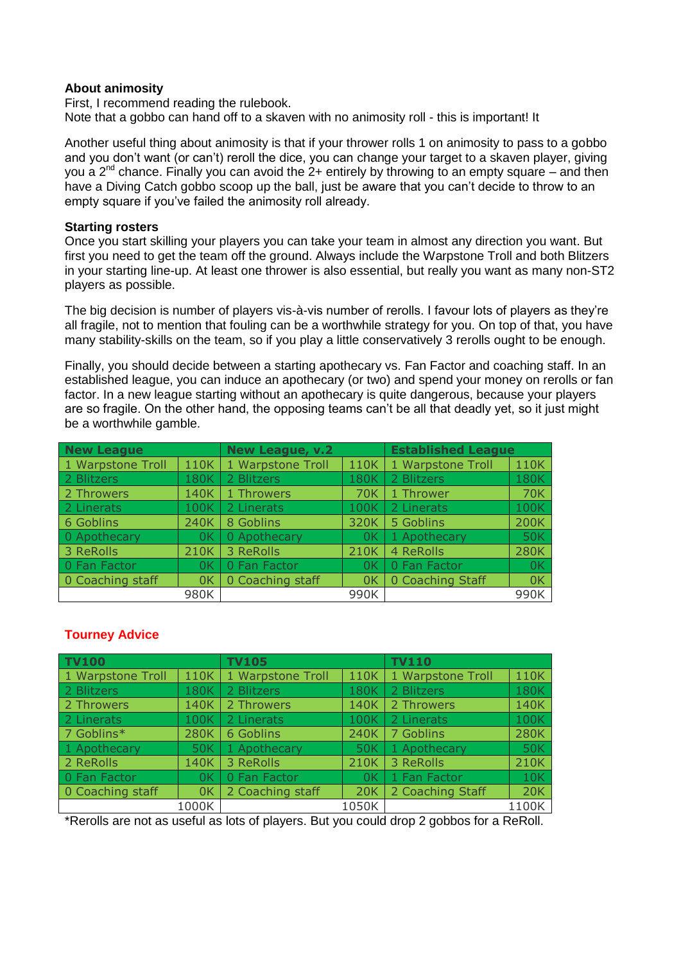#### **About animosity**

First, I recommend reading the rulebook. Note that a gobbo can hand off to a skaven with no animosity roll - this is important! It

Another useful thing about animosity is that if your thrower rolls 1 on animosity to pass to a gobbo and you don't want (or can't) reroll the dice, you can change your target to a skaven player, giving you a  $2^{nd}$  chance. Finally you can avoid the  $2+$  entirely by throwing to an empty square – and then have a Diving Catch gobbo scoop up the ball, just be aware that you can't decide to throw to an empty square if you've failed the animosity roll already.

#### **Starting rosters**

Once you start skilling your players you can take your team in almost any direction you want. But first you need to get the team off the ground. Always include the Warpstone Troll and both Blitzers in your starting line-up. At least one thrower is also essential, but really you want as many non-ST2 players as possible.

The big decision is number of players vis-à-vis number of rerolls. I favour lots of players as they're all fragile, not to mention that fouling can be a worthwhile strategy for you. On top of that, you have many stability-skills on the team, so if you play a little conservatively 3 rerolls ought to be enough.

Finally, you should decide between a starting apothecary vs. Fan Factor and coaching staff. In an established league, you can induce an apothecary (or two) and spend your money on rerolls or fan factor. In a new league starting without an apothecary is quite dangerous, because your players are so fragile. On the other hand, the opposing teams can't be all that deadly yet, so it just might be a worthwhile gamble.

| <b>New League</b>         |      | <b>New League, v.2</b> |             | <b>Established League</b> |             |
|---------------------------|------|------------------------|-------------|---------------------------|-------------|
| 1 Warpstone Troll<br>110K |      | 1 Warpstone Troll      | 110K        | 1 Warpstone Troll         | 110K        |
| 2 Blitzers                | 180K | 2 Blitzers             | <b>180K</b> | 2 Blitzers                | 180K        |
| 2 Throwers<br>140K        |      | 1 Throwers             | 70K         | 1 Thrower                 | <b>70K</b>  |
| 2 Linerats<br>100K        |      | 2 Linerats             | 100K        | 2 Linerats                | 100K        |
| 6 Goblins<br>240K         |      | 8 Goblins              | 320K        | 5 Goblins                 | 200K        |
| 0 Apothecary              | 0K   | 0 Apothecary           | 0K          | 1 Apothecary              | <b>50K</b>  |
| 3 ReRolls                 | 210K | 3 ReRolls              | 210K        | 4 ReRolls                 | <b>280K</b> |
| 0 Fan Factor              | 0K   | 0 Fan Factor           | 0K          | 0 Fan Factor              | 0K          |
| 0 Coaching staff          | 0K   | 0 Coaching staff       | 0K          | 0 Coaching Staff          | 0K          |
|                           | 980K |                        | 990K        |                           | 990K        |

## **Tourney Advice**

| <b>TV100</b>              |       | <b>TV105</b>      |                | <b>TV110</b>      |      |  |
|---------------------------|-------|-------------------|----------------|-------------------|------|--|
| 1 Warpstone Troll<br>110K |       | 1 Warpstone Troll | 110K           | 1 Warpstone Troll | 110K |  |
| 2 Blitzers                | 180K  | 2 Blitzers        | <b>180K</b>    | 2 Blitzers        | 180K |  |
| 2 Throwers<br>140K        |       | 2 Throwers        | 140K           | 2 Throwers        | 140K |  |
| 2 Linerats<br>100K        |       | 2 Linerats        | 100K           | 2 Linerats        | 100K |  |
| 7 Goblins*<br>280K        |       | 6 Goblins         | 240K           | 7 Goblins         | 280K |  |
| 1 Apothecary              | 50K   | 1 Apothecary      | 50K            | 1 Apothecary      | 50K  |  |
| 2 ReRolls                 | 140K  | 3 ReRolls         | 210K           | 3 ReRolls         | 210K |  |
| 0 Fan Factor              | 0K    | 0 Fan Factor      | 0 <sup>K</sup> | 1 Fan Factor      | 10K  |  |
| 0 Coaching staff<br>0K    |       | 2 Coaching staff  | <b>20K</b>     | 2 Coaching Staff  | 20K  |  |
|                           | 1000K |                   | 1050K          | 1100K             |      |  |

\*Rerolls are not as useful as lots of players. But you could drop 2 gobbos for a ReRoll.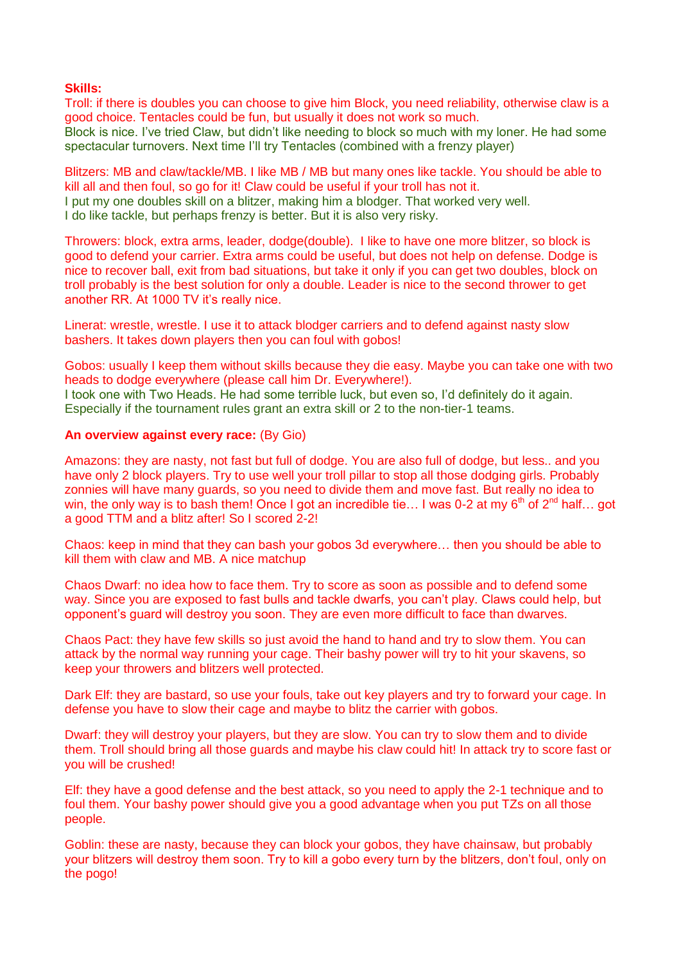#### **Skills:**

Troll: if there is doubles you can choose to give him Block, you need reliability, otherwise claw is a good choice. Tentacles could be fun, but usually it does not work so much. Block is nice. I've tried Claw, but didn't like needing to block so much with my loner. He had some spectacular turnovers. Next time I'll try Tentacles (combined with a frenzy player)

Blitzers: MB and claw/tackle/MB. I like MB / MB but many ones like tackle. You should be able to kill all and then foul, so go for it! Claw could be useful if your troll has not it. I put my one doubles skill on a blitzer, making him a blodger. That worked very well. I do like tackle, but perhaps frenzy is better. But it is also very risky.

Throwers: block, extra arms, leader, dodge(double). I like to have one more blitzer, so block is good to defend your carrier. Extra arms could be useful, but does not help on defense. Dodge is nice to recover ball, exit from bad situations, but take it only if you can get two doubles, block on troll probably is the best solution for only a double. Leader is nice to the second thrower to get another RR. At 1000 TV it's really nice.

Linerat: wrestle, wrestle. I use it to attack blodger carriers and to defend against nasty slow bashers. It takes down players then you can foul with gobos!

Gobos: usually I keep them without skills because they die easy. Maybe you can take one with two heads to dodge everywhere (please call him Dr. Everywhere!).

I took one with Two Heads. He had some terrible luck, but even so, I'd definitely do it again. Especially if the tournament rules grant an extra skill or 2 to the non-tier-1 teams.

#### **An overview against every race:** (By Gio)

Amazons: they are nasty, not fast but full of dodge. You are also full of dodge, but less.. and you have only 2 block players. Try to use well your troll pillar to stop all those dodging girls. Probably zonnies will have many guards, so you need to divide them and move fast. But really no idea to win, the only way is to bash them! Once I got an incredible tie... I was 0-2 at my  $6<sup>th</sup>$  of  $2<sup>nd</sup>$  half... got a good TTM and a blitz after! So I scored 2-2!

Chaos: keep in mind that they can bash your gobos 3d everywhere… then you should be able to kill them with claw and MB. A nice matchup

Chaos Dwarf: no idea how to face them. Try to score as soon as possible and to defend some way. Since you are exposed to fast bulls and tackle dwarfs, you can't play. Claws could help, but opponent's guard will destroy you soon. They are even more difficult to face than dwarves.

Chaos Pact: they have few skills so just avoid the hand to hand and try to slow them. You can attack by the normal way running your cage. Their bashy power will try to hit your skavens, so keep your throwers and blitzers well protected.

Dark Elf: they are bastard, so use your fouls, take out key players and try to forward your cage. In defense you have to slow their cage and maybe to blitz the carrier with gobos.

Dwarf: they will destroy your players, but they are slow. You can try to slow them and to divide them. Troll should bring all those guards and maybe his claw could hit! In attack try to score fast or you will be crushed!

Elf: they have a good defense and the best attack, so you need to apply the 2-1 technique and to foul them. Your bashy power should give you a good advantage when you put TZs on all those people.

Goblin: these are nasty, because they can block your gobos, they have chainsaw, but probably your blitzers will destroy them soon. Try to kill a gobo every turn by the blitzers, don't foul, only on the pogo!